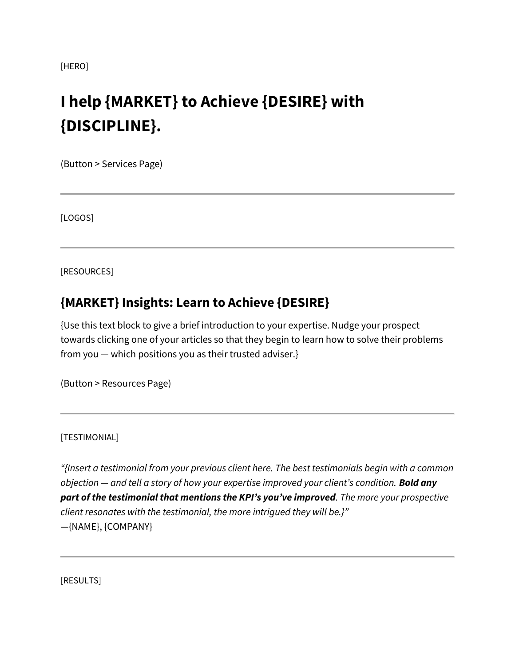[HERO]

# **I help {MARKET} to Achieve {DESIRE} with {DISCIPLINE}.**

(Button > Services Page)

[LOGOS]

[RESOURCES]

## **{MARKET} Insights: Learn to Achieve {DESIRE}**

{Use this text block to give a brief introduction to your expertise. Nudge your prospect towards clicking one of your articles so that they begin to learn how to solve their problems from you — which positions you as their trusted adviser.}

(Button > Resources Page)

#### [TESTIMONIAL]

*"{Insert a testimonial from your previous client here. The best testimonials begin with a common objection — and tell a story of how your expertise improved your client's condition. Bold any part of the testimonial that mentions the KPI's you've improved. The more your prospective client resonates with the testimonial, the more intrigued they will be.}"* —{NAME}, {COMPANY}

[RESULTS]